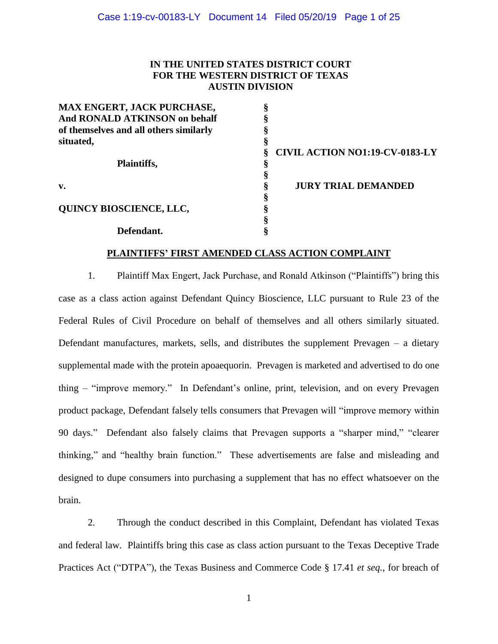## **IN THE UNITED STATES DISTRICT COURT FOR THE WESTERN DISTRICT OF TEXAS AUSTIN DIVISION**

| <b>MAX ENGERT, JACK PURCHASE,</b>      |                                       |
|----------------------------------------|---------------------------------------|
| <b>And RONALD ATKINSON on behalf</b>   |                                       |
| of themselves and all others similarly |                                       |
| situated,                              |                                       |
|                                        | <b>CIVIL ACTION NO1:19-CV-0183-LY</b> |
| Plaintiffs,                            |                                       |
|                                        |                                       |
| $\mathbf{v}$ .                         | <b>JURY TRIAL DEMANDED</b>            |
|                                        |                                       |
| <b>QUINCY BIOSCIENCE, LLC,</b>         |                                       |
|                                        |                                       |
| Defendant.                             |                                       |

#### **PLAINTIFFS' FIRST AMENDED CLASS ACTION COMPLAINT**

1. Plaintiff Max Engert, Jack Purchase, and Ronald Atkinson ("Plaintiffs") bring this case as a class action against Defendant Quincy Bioscience, LLC pursuant to Rule 23 of the Federal Rules of Civil Procedure on behalf of themselves and all others similarly situated. Defendant manufactures, markets, sells, and distributes the supplement Prevagen – a dietary supplemental made with the protein apoaequorin. Prevagen is marketed and advertised to do one thing – "improve memory." In Defendant's online, print, television, and on every Prevagen product package, Defendant falsely tells consumers that Prevagen will "improve memory within 90 days." Defendant also falsely claims that Prevagen supports a "sharper mind," "clearer thinking," and "healthy brain function." These advertisements are false and misleading and designed to dupe consumers into purchasing a supplement that has no effect whatsoever on the brain.

2. Through the conduct described in this Complaint, Defendant has violated Texas and federal law. Plaintiffs bring this case as class action pursuant to the Texas Deceptive Trade Practices Act ("DTPA"), the Texas Business and Commerce Code § 17.41 *et seq.*, for breach of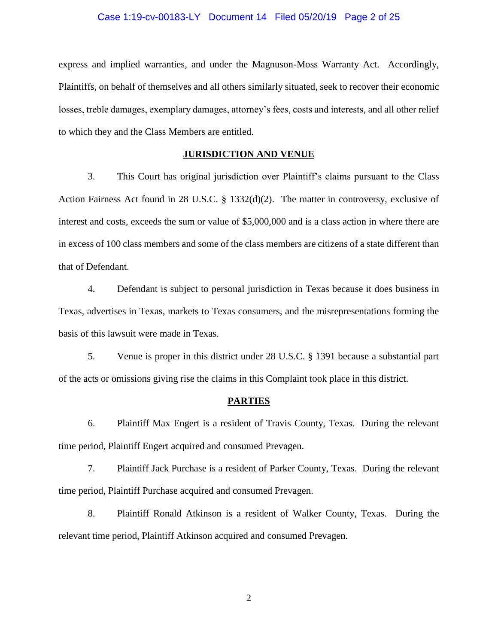#### Case 1:19-cv-00183-LY Document 14 Filed 05/20/19 Page 2 of 25

express and implied warranties, and under the Magnuson-Moss Warranty Act. Accordingly, Plaintiffs, on behalf of themselves and all others similarly situated, seek to recover their economic losses, treble damages, exemplary damages, attorney's fees, costs and interests, and all other relief to which they and the Class Members are entitled.

## **JURISDICTION AND VENUE**

3. This Court has original jurisdiction over Plaintiff's claims pursuant to the Class Action Fairness Act found in 28 U.S.C. § 1332(d)(2). The matter in controversy, exclusive of interest and costs, exceeds the sum or value of \$5,000,000 and is a class action in where there are in excess of 100 class members and some of the class members are citizens of a state different than that of Defendant.

4. Defendant is subject to personal jurisdiction in Texas because it does business in Texas, advertises in Texas, markets to Texas consumers, and the misrepresentations forming the basis of this lawsuit were made in Texas.

5. Venue is proper in this district under 28 U.S.C. § 1391 because a substantial part of the acts or omissions giving rise the claims in this Complaint took place in this district.

#### **PARTIES**

6. Plaintiff Max Engert is a resident of Travis County, Texas. During the relevant time period, Plaintiff Engert acquired and consumed Prevagen.

7. Plaintiff Jack Purchase is a resident of Parker County, Texas. During the relevant time period, Plaintiff Purchase acquired and consumed Prevagen.

8. Plaintiff Ronald Atkinson is a resident of Walker County, Texas. During the relevant time period, Plaintiff Atkinson acquired and consumed Prevagen.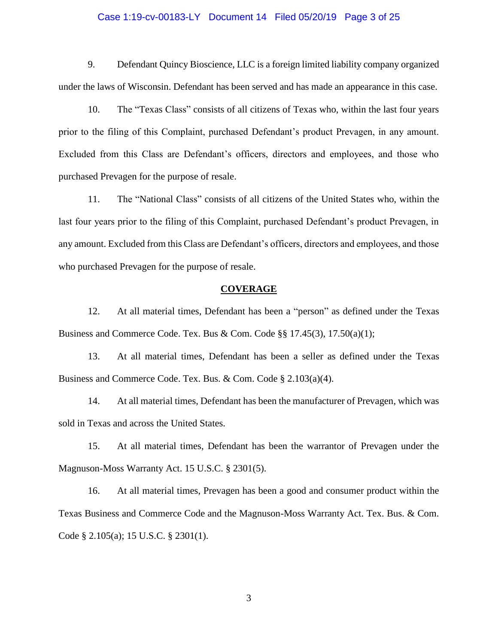#### Case 1:19-cv-00183-LY Document 14 Filed 05/20/19 Page 3 of 25

9. Defendant Quincy Bioscience, LLC is a foreign limited liability company organized under the laws of Wisconsin. Defendant has been served and has made an appearance in this case.

10. The "Texas Class" consists of all citizens of Texas who, within the last four years prior to the filing of this Complaint, purchased Defendant's product Prevagen, in any amount. Excluded from this Class are Defendant's officers, directors and employees, and those who purchased Prevagen for the purpose of resale.

11. The "National Class" consists of all citizens of the United States who, within the last four years prior to the filing of this Complaint, purchased Defendant's product Prevagen, in any amount. Excluded from this Class are Defendant's officers, directors and employees, and those who purchased Prevagen for the purpose of resale.

### **COVERAGE**

12. At all material times, Defendant has been a "person" as defined under the Texas Business and Commerce Code. Tex. Bus & Com. Code §§  $17.45(3)$ ,  $17.50(a)(1)$ ;

13. At all material times, Defendant has been a seller as defined under the Texas Business and Commerce Code. Tex. Bus. & Com. Code § 2.103(a)(4).

14. At all material times, Defendant has been the manufacturer of Prevagen, which was sold in Texas and across the United States.

15. At all material times, Defendant has been the warrantor of Prevagen under the Magnuson-Moss Warranty Act. 15 U.S.C. § 2301(5).

16. At all material times, Prevagen has been a good and consumer product within the Texas Business and Commerce Code and the Magnuson-Moss Warranty Act. Tex. Bus. & Com. Code § 2.105(a); 15 U.S.C. § 2301(1).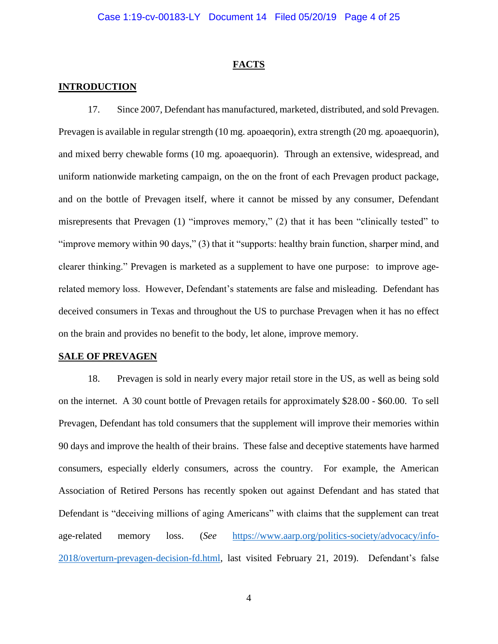#### **FACTS**

### **INTRODUCTION**

17. Since 2007, Defendant has manufactured, marketed, distributed, and sold Prevagen. Prevagen is available in regular strength (10 mg. apoaeqorin), extra strength (20 mg. apoaequorin), and mixed berry chewable forms (10 mg. apoaequorin). Through an extensive, widespread, and uniform nationwide marketing campaign, on the on the front of each Prevagen product package, and on the bottle of Prevagen itself, where it cannot be missed by any consumer, Defendant misrepresents that Prevagen (1) "improves memory," (2) that it has been "clinically tested" to "improve memory within 90 days," (3) that it "supports: healthy brain function, sharper mind, and clearer thinking." Prevagen is marketed as a supplement to have one purpose: to improve agerelated memory loss. However, Defendant's statements are false and misleading. Defendant has deceived consumers in Texas and throughout the US to purchase Prevagen when it has no effect on the brain and provides no benefit to the body, let alone, improve memory.

#### **SALE OF PREVAGEN**

18. Prevagen is sold in nearly every major retail store in the US, as well as being sold on the internet. A 30 count bottle of Prevagen retails for approximately \$28.00 - \$60.00. To sell Prevagen, Defendant has told consumers that the supplement will improve their memories within 90 days and improve the health of their brains. These false and deceptive statements have harmed consumers, especially elderly consumers, across the country. For example, the American Association of Retired Persons has recently spoken out against Defendant and has stated that Defendant is "deceiving millions of aging Americans" with claims that the supplement can treat age-related memory loss. (*See* [https://www.aarp.org/politics-society/advocacy/info-](https://www.aarp.org/politics-society/advocacy/info-2018/overturn-prevagen-decision-fd.html)[2018/overturn-prevagen-decision-fd.html,](https://www.aarp.org/politics-society/advocacy/info-2018/overturn-prevagen-decision-fd.html) last visited February 21, 2019). Defendant's false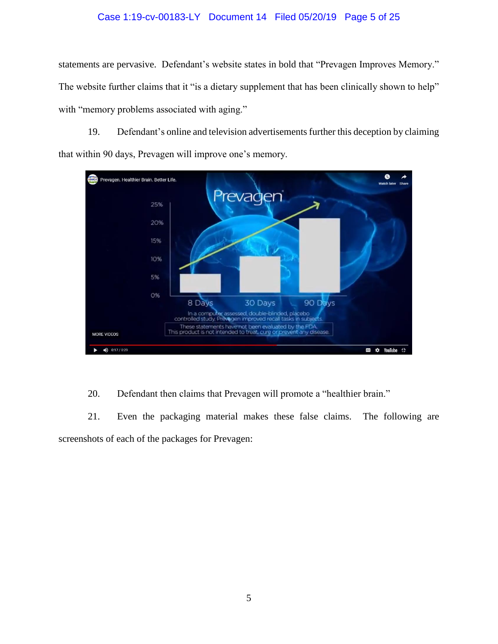# Case 1:19-cv-00183-LY Document 14 Filed 05/20/19 Page 5 of 25

statements are pervasive. Defendant's website states in bold that "Prevagen Improves Memory." The website further claims that it "is a dietary supplement that has been clinically shown to help" with "memory problems associated with aging."

19. Defendant's online and television advertisements further this deception by claiming that within 90 days, Prevagen will improve one's memory.



20. Defendant then claims that Prevagen will promote a "healthier brain."

21. Even the packaging material makes these false claims. The following are screenshots of each of the packages for Prevagen: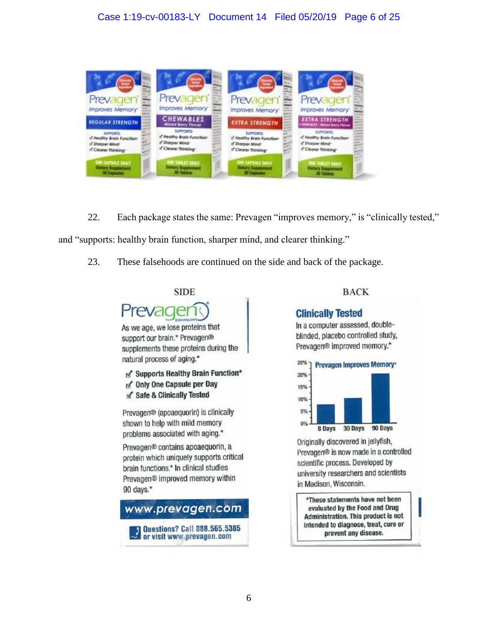# Case 1:19-cv-00183-LY Document 14 Filed 05/20/19 Page 6 of 25



22. Each package states the same: Prevagen "improves memory," is "clinically tested," and "supports: healthy brain function, sharper mind, and clearer thinking."

23. These falsehoods are continued on the side and back of the package.



## **BACK**

# **Clinically Tested**

In a computer assessed, doubleblinded, placebo controlled study, Prevagen® improved memory.\*



Originally discovered in jellyfish, Prevagen® is now made in a controlled scientific process. Developed by university researchers and scientists in Madison, Wisconsin.

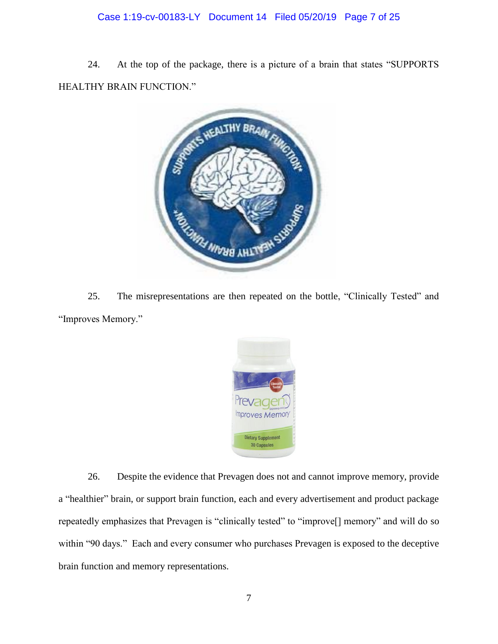# Case 1:19-cv-00183-LY Document 14 Filed 05/20/19 Page 7 of 25

24. At the top of the package, there is a picture of a brain that states "SUPPORTS HEALTHY BRAIN FUNCTION."



25. The misrepresentations are then repeated on the bottle, "Clinically Tested" and "Improves Memory."



26. Despite the evidence that Prevagen does not and cannot improve memory, provide a "healthier" brain, or support brain function, each and every advertisement and product package repeatedly emphasizes that Prevagen is "clinically tested" to "improve[] memory" and will do so within "90 days." Each and every consumer who purchases Prevagen is exposed to the deceptive brain function and memory representations.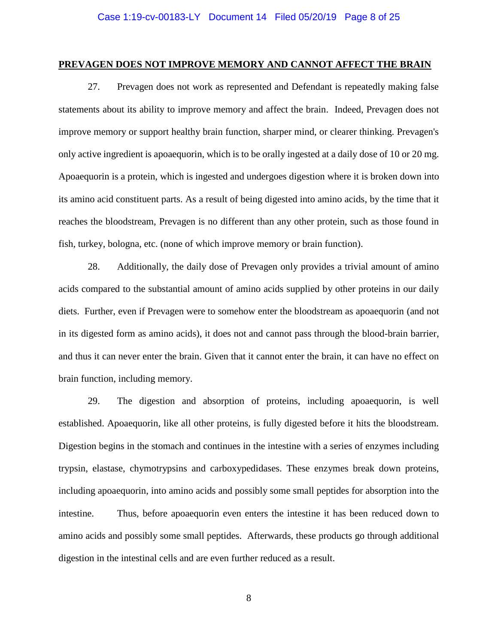#### **PREVAGEN DOES NOT IMPROVE MEMORY AND CANNOT AFFECT THE BRAIN**

27. Prevagen does not work as represented and Defendant is repeatedly making false statements about its ability to improve memory and affect the brain. Indeed, Prevagen does not improve memory or support healthy brain function, sharper mind, or clearer thinking. Prevagen's only active ingredient is apoaequorin, which is to be orally ingested at a daily dose of 10 or 20 mg. Apoaequorin is a protein, which is ingested and undergoes digestion where it is broken down into its amino acid constituent parts. As a result of being digested into amino acids, by the time that it reaches the bloodstream, Prevagen is no different than any other protein, such as those found in fish, turkey, bologna, etc. (none of which improve memory or brain function).

28. Additionally, the daily dose of Prevagen only provides a trivial amount of amino acids compared to the substantial amount of amino acids supplied by other proteins in our daily diets. Further, even if Prevagen were to somehow enter the bloodstream as apoaequorin (and not in its digested form as amino acids), it does not and cannot pass through the blood-brain barrier, and thus it can never enter the brain. Given that it cannot enter the brain, it can have no effect on brain function, including memory.

29. The digestion and absorption of proteins, including apoaequorin, is well established. Apoaequorin, like all other proteins, is fully digested before it hits the bloodstream. Digestion begins in the stomach and continues in the intestine with a series of enzymes including trypsin, elastase, chymotrypsins and carboxypedidases. These enzymes break down proteins, including apoaequorin, into amino acids and possibly some small peptides for absorption into the intestine. Thus, before apoaequorin even enters the intestine it has been reduced down to amino acids and possibly some small peptides. Afterwards, these products go through additional digestion in the intestinal cells and are even further reduced as a result.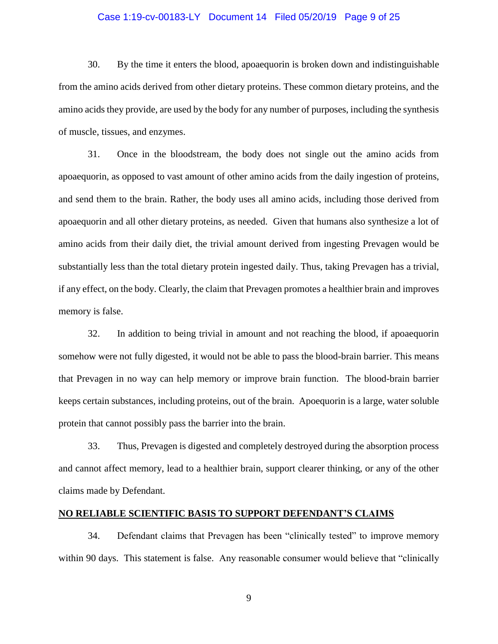#### Case 1:19-cv-00183-LY Document 14 Filed 05/20/19 Page 9 of 25

30. By the time it enters the blood, apoaequorin is broken down and indistinguishable from the amino acids derived from other dietary proteins. These common dietary proteins, and the amino acids they provide, are used by the body for any number of purposes, including the synthesis of muscle, tissues, and enzymes.

31. Once in the bloodstream, the body does not single out the amino acids from apoaequorin, as opposed to vast amount of other amino acids from the daily ingestion of proteins, and send them to the brain. Rather, the body uses all amino acids, including those derived from apoaequorin and all other dietary proteins, as needed. Given that humans also synthesize a lot of amino acids from their daily diet, the trivial amount derived from ingesting Prevagen would be substantially less than the total dietary protein ingested daily. Thus, taking Prevagen has a trivial, if any effect, on the body. Clearly, the claim that Prevagen promotes a healthier brain and improves memory is false.

32. In addition to being trivial in amount and not reaching the blood, if apoaequorin somehow were not fully digested, it would not be able to pass the blood-brain barrier. This means that Prevagen in no way can help memory or improve brain function. The blood-brain barrier keeps certain substances, including proteins, out of the brain. Apoequorin is a large, water soluble protein that cannot possibly pass the barrier into the brain.

33. Thus, Prevagen is digested and completely destroyed during the absorption process and cannot affect memory, lead to a healthier brain, support clearer thinking, or any of the other claims made by Defendant.

#### **NO RELIABLE SCIENTIFIC BASIS TO SUPPORT DEFENDANT'S CLAIMS**

34. Defendant claims that Prevagen has been "clinically tested" to improve memory within 90 days. This statement is false. Any reasonable consumer would believe that "clinically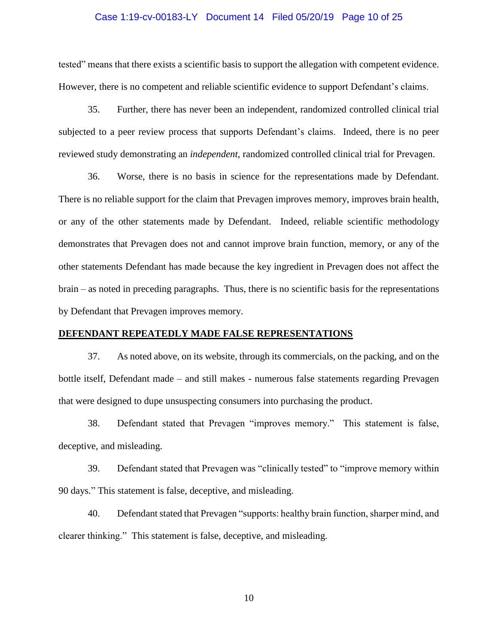#### Case 1:19-cv-00183-LY Document 14 Filed 05/20/19 Page 10 of 25

tested" means that there exists a scientific basis to support the allegation with competent evidence. However, there is no competent and reliable scientific evidence to support Defendant's claims.

35. Further, there has never been an independent, randomized controlled clinical trial subjected to a peer review process that supports Defendant's claims. Indeed, there is no peer reviewed study demonstrating an *independent*, randomized controlled clinical trial for Prevagen.

36. Worse, there is no basis in science for the representations made by Defendant. There is no reliable support for the claim that Prevagen improves memory, improves brain health, or any of the other statements made by Defendant. Indeed, reliable scientific methodology demonstrates that Prevagen does not and cannot improve brain function, memory, or any of the other statements Defendant has made because the key ingredient in Prevagen does not affect the brain – as noted in preceding paragraphs. Thus, there is no scientific basis for the representations by Defendant that Prevagen improves memory.

#### **DEFENDANT REPEATEDLY MADE FALSE REPRESENTATIONS**

37. As noted above, on its website, through its commercials, on the packing, and on the bottle itself, Defendant made – and still makes - numerous false statements regarding Prevagen that were designed to dupe unsuspecting consumers into purchasing the product.

38. Defendant stated that Prevagen "improves memory." This statement is false, deceptive, and misleading.

39. Defendant stated that Prevagen was "clinically tested" to "improve memory within 90 days." This statement is false, deceptive, and misleading.

40. Defendant stated that Prevagen "supports: healthy brain function, sharper mind, and clearer thinking." This statement is false, deceptive, and misleading.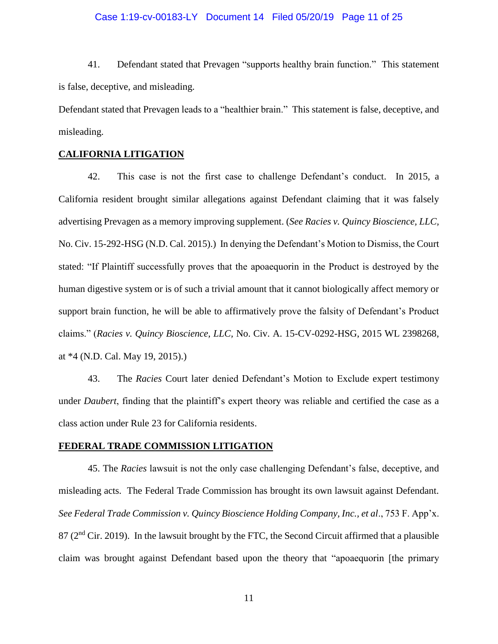#### Case 1:19-cv-00183-LY Document 14 Filed 05/20/19 Page 11 of 25

41. Defendant stated that Prevagen "supports healthy brain function." This statement is false, deceptive, and misleading.

Defendant stated that Prevagen leads to a "healthier brain." This statement is false, deceptive, and misleading.

### **CALIFORNIA LITIGATION**

42. This case is not the first case to challenge Defendant's conduct. In 2015, a California resident brought similar allegations against Defendant claiming that it was falsely advertising Prevagen as a memory improving supplement. (*See Racies v. Quincy Bioscience, LLC,* No. Civ. 15-292-HSG (N.D. Cal. 2015).) In denying the Defendant's Motion to Dismiss, the Court stated: "If Plaintiff successfully proves that the apoaequorin in the Product is destroyed by the human digestive system or is of such a trivial amount that it cannot biologically affect memory or support brain function, he will be able to affirmatively prove the falsity of Defendant's Product claims." (*Racies v. Quincy Bioscience, LLC,* No. Civ. A. 15-CV-0292-HSG, 2015 WL 2398268, at \*4 (N.D. Cal. May 19, 2015).)

43. The *Racies* Court later denied Defendant's Motion to Exclude expert testimony under *Daubert*, finding that the plaintiff's expert theory was reliable and certified the case as a class action under Rule 23 for California residents.

### **FEDERAL TRADE COMMISSION LITIGATION**

45. The *Racies* lawsuit is not the only case challenging Defendant's false, deceptive, and misleading acts. The Federal Trade Commission has brought its own lawsuit against Defendant. *See Federal Trade Commission v. Quincy Bioscience Holding Company, Inc., et al*., 753 F. App'x.  $87$  ( $2<sup>nd</sup>$  Cir. 2019). In the lawsuit brought by the FTC, the Second Circuit affirmed that a plausible claim was brought against Defendant based upon the theory that "apoaequorin [the primary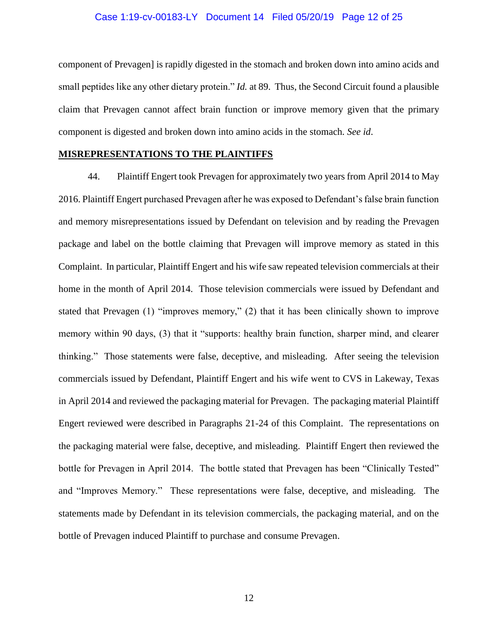#### Case 1:19-cv-00183-LY Document 14 Filed 05/20/19 Page 12 of 25

component of Prevagen] is rapidly digested in the stomach and broken down into amino acids and small peptides like any other dietary protein." *Id.* at 89. Thus, the Second Circuit found a plausible claim that Prevagen cannot affect brain function or improve memory given that the primary component is digested and broken down into amino acids in the stomach. *See id*.

#### **MISREPRESENTATIONS TO THE PLAINTIFFS**

44. Plaintiff Engert took Prevagen for approximately two years from April 2014 to May 2016. Plaintiff Engert purchased Prevagen after he was exposed to Defendant's false brain function and memory misrepresentations issued by Defendant on television and by reading the Prevagen package and label on the bottle claiming that Prevagen will improve memory as stated in this Complaint. In particular, Plaintiff Engert and his wife saw repeated television commercials at their home in the month of April 2014. Those television commercials were issued by Defendant and stated that Prevagen (1) "improves memory," (2) that it has been clinically shown to improve memory within 90 days, (3) that it "supports: healthy brain function, sharper mind, and clearer thinking." Those statements were false, deceptive, and misleading. After seeing the television commercials issued by Defendant, Plaintiff Engert and his wife went to CVS in Lakeway, Texas in April 2014 and reviewed the packaging material for Prevagen. The packaging material Plaintiff Engert reviewed were described in Paragraphs 21-24 of this Complaint. The representations on the packaging material were false, deceptive, and misleading. Plaintiff Engert then reviewed the bottle for Prevagen in April 2014. The bottle stated that Prevagen has been "Clinically Tested" and "Improves Memory." These representations were false, deceptive, and misleading. The statements made by Defendant in its television commercials, the packaging material, and on the bottle of Prevagen induced Plaintiff to purchase and consume Prevagen.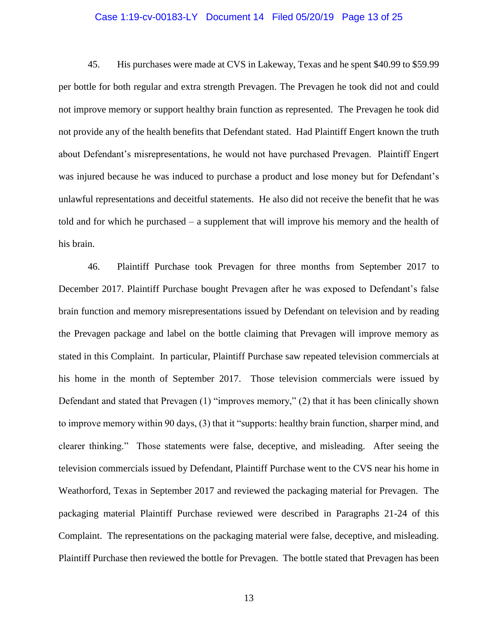#### Case 1:19-cv-00183-LY Document 14 Filed 05/20/19 Page 13 of 25

45. His purchases were made at CVS in Lakeway, Texas and he spent \$40.99 to \$59.99 per bottle for both regular and extra strength Prevagen. The Prevagen he took did not and could not improve memory or support healthy brain function as represented. The Prevagen he took did not provide any of the health benefits that Defendant stated. Had Plaintiff Engert known the truth about Defendant's misrepresentations, he would not have purchased Prevagen. Plaintiff Engert was injured because he was induced to purchase a product and lose money but for Defendant's unlawful representations and deceitful statements. He also did not receive the benefit that he was told and for which he purchased – a supplement that will improve his memory and the health of his brain.

46. Plaintiff Purchase took Prevagen for three months from September 2017 to December 2017. Plaintiff Purchase bought Prevagen after he was exposed to Defendant's false brain function and memory misrepresentations issued by Defendant on television and by reading the Prevagen package and label on the bottle claiming that Prevagen will improve memory as stated in this Complaint. In particular, Plaintiff Purchase saw repeated television commercials at his home in the month of September 2017. Those television commercials were issued by Defendant and stated that Prevagen (1) "improves memory," (2) that it has been clinically shown to improve memory within 90 days, (3) that it "supports: healthy brain function, sharper mind, and clearer thinking." Those statements were false, deceptive, and misleading. After seeing the television commercials issued by Defendant, Plaintiff Purchase went to the CVS near his home in Weathorford, Texas in September 2017 and reviewed the packaging material for Prevagen. The packaging material Plaintiff Purchase reviewed were described in Paragraphs 21-24 of this Complaint. The representations on the packaging material were false, deceptive, and misleading. Plaintiff Purchase then reviewed the bottle for Prevagen. The bottle stated that Prevagen has been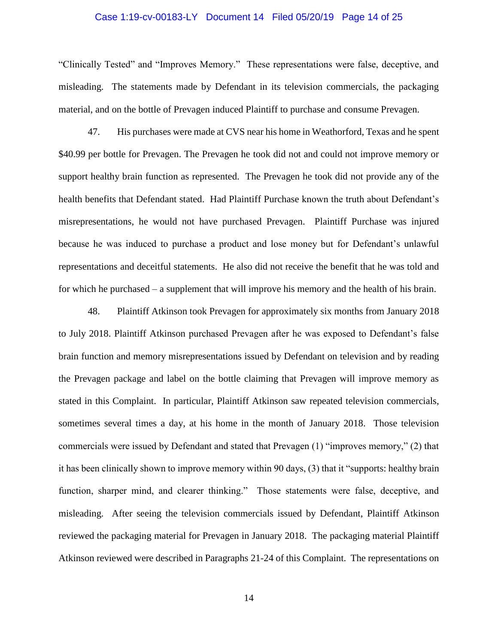#### Case 1:19-cv-00183-LY Document 14 Filed 05/20/19 Page 14 of 25

"Clinically Tested" and "Improves Memory." These representations were false, deceptive, and misleading. The statements made by Defendant in its television commercials, the packaging material, and on the bottle of Prevagen induced Plaintiff to purchase and consume Prevagen.

47. His purchases were made at CVS near his home in Weathorford, Texas and he spent \$40.99 per bottle for Prevagen. The Prevagen he took did not and could not improve memory or support healthy brain function as represented. The Prevagen he took did not provide any of the health benefits that Defendant stated. Had Plaintiff Purchase known the truth about Defendant's misrepresentations, he would not have purchased Prevagen. Plaintiff Purchase was injured because he was induced to purchase a product and lose money but for Defendant's unlawful representations and deceitful statements. He also did not receive the benefit that he was told and for which he purchased – a supplement that will improve his memory and the health of his brain.

48. Plaintiff Atkinson took Prevagen for approximately six months from January 2018 to July 2018. Plaintiff Atkinson purchased Prevagen after he was exposed to Defendant's false brain function and memory misrepresentations issued by Defendant on television and by reading the Prevagen package and label on the bottle claiming that Prevagen will improve memory as stated in this Complaint. In particular, Plaintiff Atkinson saw repeated television commercials, sometimes several times a day, at his home in the month of January 2018. Those television commercials were issued by Defendant and stated that Prevagen (1) "improves memory," (2) that it has been clinically shown to improve memory within 90 days, (3) that it "supports: healthy brain function, sharper mind, and clearer thinking." Those statements were false, deceptive, and misleading. After seeing the television commercials issued by Defendant, Plaintiff Atkinson reviewed the packaging material for Prevagen in January 2018. The packaging material Plaintiff Atkinson reviewed were described in Paragraphs 21-24 of this Complaint. The representations on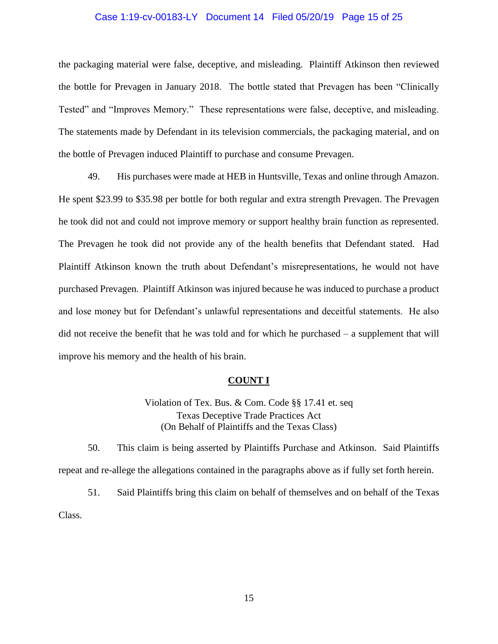#### Case 1:19-cv-00183-LY Document 14 Filed 05/20/19 Page 15 of 25

the packaging material were false, deceptive, and misleading. Plaintiff Atkinson then reviewed the bottle for Prevagen in January 2018. The bottle stated that Prevagen has been "Clinically Tested" and "Improves Memory." These representations were false, deceptive, and misleading. The statements made by Defendant in its television commercials, the packaging material, and on the bottle of Prevagen induced Plaintiff to purchase and consume Prevagen.

49. His purchases were made at HEB in Huntsville, Texas and online through Amazon. He spent \$23.99 to \$35.98 per bottle for both regular and extra strength Prevagen. The Prevagen he took did not and could not improve memory or support healthy brain function as represented. The Prevagen he took did not provide any of the health benefits that Defendant stated. Had Plaintiff Atkinson known the truth about Defendant's misrepresentations, he would not have purchased Prevagen. Plaintiff Atkinson was injured because he was induced to purchase a product and lose money but for Defendant's unlawful representations and deceitful statements. He also did not receive the benefit that he was told and for which he purchased – a supplement that will improve his memory and the health of his brain.

#### **COUNT I**

Violation of Tex. Bus. & Com. Code §§ 17.41 et. seq Texas Deceptive Trade Practices Act (On Behalf of Plaintiffs and the Texas Class)

50. This claim is being asserted by Plaintiffs Purchase and Atkinson. Said Plaintiffs repeat and re-allege the allegations contained in the paragraphs above as if fully set forth herein.

51. Said Plaintiffs bring this claim on behalf of themselves and on behalf of the Texas Class.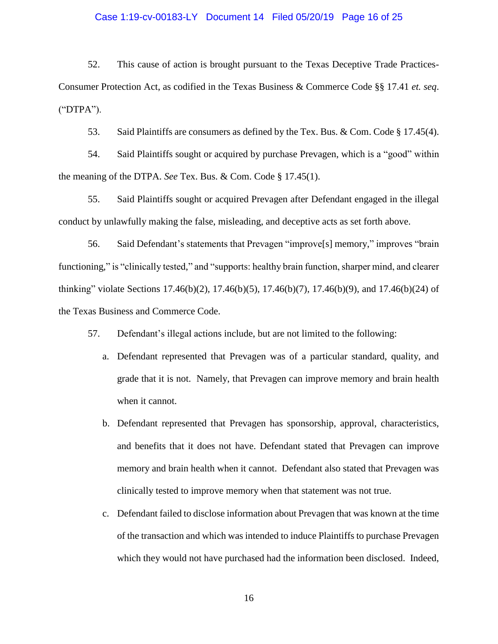#### Case 1:19-cv-00183-LY Document 14 Filed 05/20/19 Page 16 of 25

52. This cause of action is brought pursuant to the Texas Deceptive Trade Practices-Consumer Protection Act, as codified in the Texas Business & Commerce Code §§ 17.41 *et. seq*. ("DTPA").

53. Said Plaintiffs are consumers as defined by the Tex. Bus. & Com. Code § 17.45(4).

54. Said Plaintiffs sought or acquired by purchase Prevagen, which is a "good" within the meaning of the DTPA. *See* Tex. Bus. & Com. Code § 17.45(1).

55. Said Plaintiffs sought or acquired Prevagen after Defendant engaged in the illegal conduct by unlawfully making the false, misleading, and deceptive acts as set forth above.

56. Said Defendant's statements that Prevagen "improve[s] memory," improves "brain functioning," is "clinically tested," and "supports: healthy brain function, sharper mind, and clearer thinking" violate Sections 17.46(b)(2), 17.46(b)(5), 17.46(b)(7), 17.46(b)(9), and 17.46(b)(24) of the Texas Business and Commerce Code.

57. Defendant's illegal actions include, but are not limited to the following:

- a. Defendant represented that Prevagen was of a particular standard, quality, and grade that it is not. Namely, that Prevagen can improve memory and brain health when it cannot.
- b. Defendant represented that Prevagen has sponsorship, approval, characteristics, and benefits that it does not have. Defendant stated that Prevagen can improve memory and brain health when it cannot. Defendant also stated that Prevagen was clinically tested to improve memory when that statement was not true.
- c. Defendant failed to disclose information about Prevagen that was known at the time of the transaction and which was intended to induce Plaintiffs to purchase Prevagen which they would not have purchased had the information been disclosed. Indeed,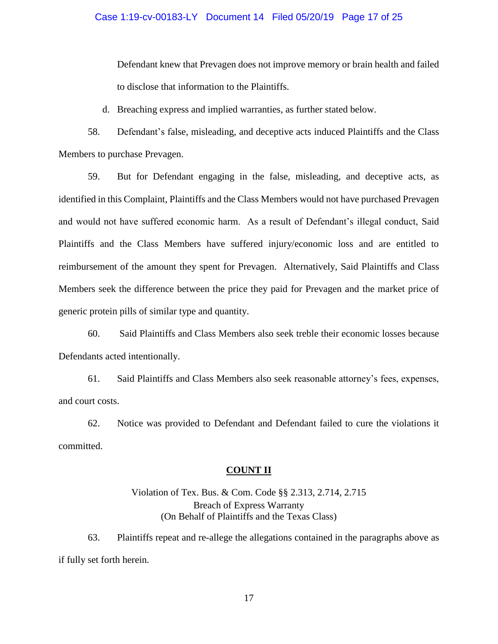### Case 1:19-cv-00183-LY Document 14 Filed 05/20/19 Page 17 of 25

Defendant knew that Prevagen does not improve memory or brain health and failed to disclose that information to the Plaintiffs.

d. Breaching express and implied warranties, as further stated below.

58. Defendant's false, misleading, and deceptive acts induced Plaintiffs and the Class Members to purchase Prevagen.

59. But for Defendant engaging in the false, misleading, and deceptive acts, as identified in this Complaint, Plaintiffs and the Class Members would not have purchased Prevagen and would not have suffered economic harm. As a result of Defendant's illegal conduct, Said Plaintiffs and the Class Members have suffered injury/economic loss and are entitled to reimbursement of the amount they spent for Prevagen. Alternatively, Said Plaintiffs and Class Members seek the difference between the price they paid for Prevagen and the market price of generic protein pills of similar type and quantity.

60. Said Plaintiffs and Class Members also seek treble their economic losses because Defendants acted intentionally.

61. Said Plaintiffs and Class Members also seek reasonable attorney's fees, expenses, and court costs.

62. Notice was provided to Defendant and Defendant failed to cure the violations it committed.

## **COUNT II**

# Violation of Tex. Bus. & Com. Code §§ 2.313, 2.714, 2.715 Breach of Express Warranty (On Behalf of Plaintiffs and the Texas Class)

63. Plaintiffs repeat and re-allege the allegations contained in the paragraphs above as if fully set forth herein.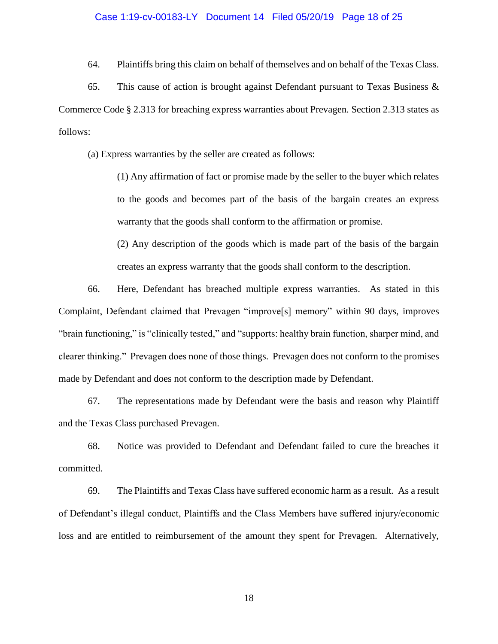#### Case 1:19-cv-00183-LY Document 14 Filed 05/20/19 Page 18 of 25

64. Plaintiffs bring this claim on behalf of themselves and on behalf of the Texas Class.

65. This cause of action is brought against Defendant pursuant to Texas Business  $\&$ Commerce Code § 2.313 for breaching express warranties about Prevagen. Section 2.313 states as follows:

(a) Express warranties by the seller are created as follows:

(1) Any affirmation of fact or promise made by the seller to the buyer which relates to the goods and becomes part of the basis of the bargain creates an express warranty that the goods shall conform to the affirmation or promise.

(2) Any description of the goods which is made part of the basis of the bargain creates an express warranty that the goods shall conform to the description.

66. Here, Defendant has breached multiple express warranties. As stated in this Complaint, Defendant claimed that Prevagen "improve[s] memory" within 90 days, improves "brain functioning," is "clinically tested," and "supports: healthy brain function, sharper mind, and clearer thinking." Prevagen does none of those things. Prevagen does not conform to the promises made by Defendant and does not conform to the description made by Defendant.

67. The representations made by Defendant were the basis and reason why Plaintiff and the Texas Class purchased Prevagen.

68. Notice was provided to Defendant and Defendant failed to cure the breaches it committed.

69. The Plaintiffs and Texas Class have suffered economic harm as a result. As a result of Defendant's illegal conduct, Plaintiffs and the Class Members have suffered injury/economic loss and are entitled to reimbursement of the amount they spent for Prevagen. Alternatively,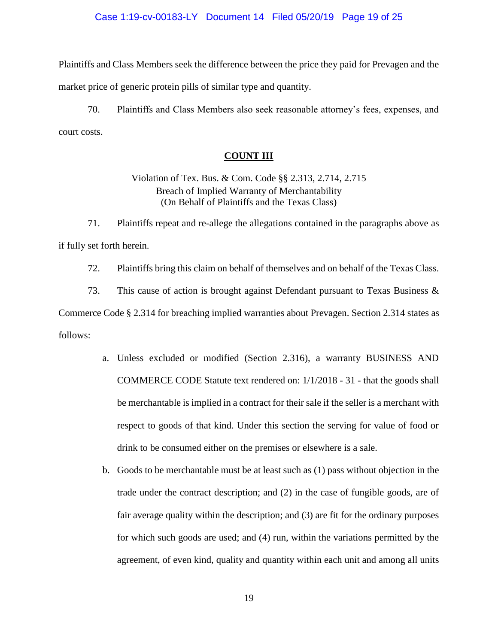### Case 1:19-cv-00183-LY Document 14 Filed 05/20/19 Page 19 of 25

Plaintiffs and Class Members seek the difference between the price they paid for Prevagen and the market price of generic protein pills of similar type and quantity.

70. Plaintiffs and Class Members also seek reasonable attorney's fees, expenses, and court costs.

## **COUNT III**

# Violation of Tex. Bus. & Com. Code §§ 2.313, 2.714, 2.715 Breach of Implied Warranty of Merchantability (On Behalf of Plaintiffs and the Texas Class)

71. Plaintiffs repeat and re-allege the allegations contained in the paragraphs above as if fully set forth herein.

72. Plaintiffs bring this claim on behalf of themselves and on behalf of the Texas Class.

73. This cause of action is brought against Defendant pursuant to Texas Business & Commerce Code § 2.314 for breaching implied warranties about Prevagen. Section 2.314 states as follows:

- a. Unless excluded or modified (Section 2.316), a warranty BUSINESS AND COMMERCE CODE Statute text rendered on: 1/1/2018 - 31 - that the goods shall be merchantable is implied in a contract for their sale if the seller is a merchant with respect to goods of that kind. Under this section the serving for value of food or drink to be consumed either on the premises or elsewhere is a sale.
- b. Goods to be merchantable must be at least such as (1) pass without objection in the trade under the contract description; and (2) in the case of fungible goods, are of fair average quality within the description; and (3) are fit for the ordinary purposes for which such goods are used; and (4) run, within the variations permitted by the agreement, of even kind, quality and quantity within each unit and among all units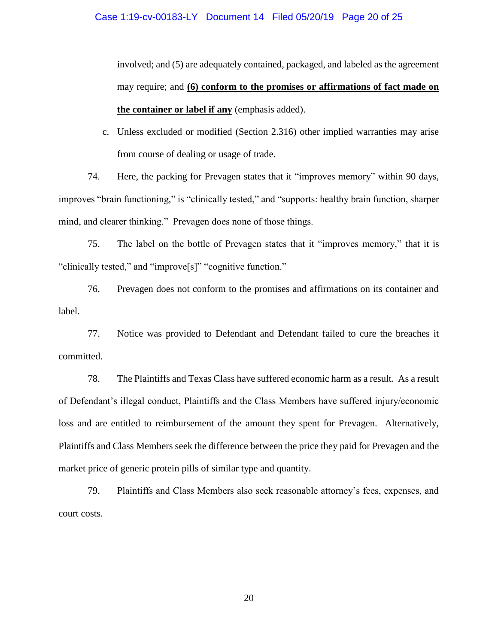involved; and (5) are adequately contained, packaged, and labeled as the agreement may require; and **(6) conform to the promises or affirmations of fact made on the container or label if any** (emphasis added).

c. Unless excluded or modified (Section 2.316) other implied warranties may arise from course of dealing or usage of trade.

74. Here, the packing for Prevagen states that it "improves memory" within 90 days, improves "brain functioning," is "clinically tested," and "supports: healthy brain function, sharper mind, and clearer thinking." Prevagen does none of those things.

75. The label on the bottle of Prevagen states that it "improves memory," that it is "clinically tested," and "improve[s]" "cognitive function."

76. Prevagen does not conform to the promises and affirmations on its container and label.

77. Notice was provided to Defendant and Defendant failed to cure the breaches it committed.

78. The Plaintiffs and Texas Class have suffered economic harm as a result. As a result of Defendant's illegal conduct, Plaintiffs and the Class Members have suffered injury/economic loss and are entitled to reimbursement of the amount they spent for Prevagen. Alternatively, Plaintiffs and Class Members seek the difference between the price they paid for Prevagen and the market price of generic protein pills of similar type and quantity.

79. Plaintiffs and Class Members also seek reasonable attorney's fees, expenses, and court costs.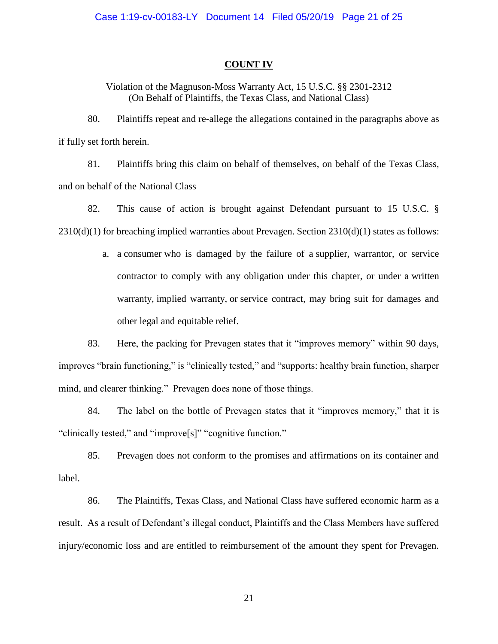## **COUNT IV**

Violation of the Magnuson-Moss Warranty Act, 15 U.S.C. §§ 2301-2312 (On Behalf of Plaintiffs, the Texas Class, and National Class)

80. Plaintiffs repeat and re-allege the allegations contained in the paragraphs above as if fully set forth herein.

81. Plaintiffs bring this claim on behalf of themselves, on behalf of the Texas Class, and on behalf of the National Class

82. This cause of action is brought against Defendant pursuant to 15 U.S.C. § 2310(d)(1) for breaching implied warranties about Prevagen. Section 2310(d)(1) states as follows:

> a. a [consumer](https://www.law.cornell.edu/definitions/uscode.php?width=840&height=800&iframe=true&def_id=15-USC-567770122-826470513&term_occur=46&term_src=title:15:chapter:50:section:2310) who is damaged by the failure of a [supplier,](https://www.law.cornell.edu/definitions/uscode.php?width=840&height=800&iframe=true&def_id=15-USC-1663305268-826470512&term_occur=12&term_src=title:15:chapter:50:section:2310) [warrantor,](https://www.law.cornell.edu/definitions/uscode.php?width=840&height=800&iframe=true&def_id=15-USC-1631904320-826470511&term_occur=45&term_src=title:15:chapter:50:section:2310) or service contractor to comply with any obligation under this chapter, or under a [written](https://www.law.cornell.edu/definitions/uscode.php?width=840&height=800&iframe=true&def_id=15-USC-1855261157-826470510&term_occur=31&term_src=title:15:chapter:50:section:2310)  [warranty,](https://www.law.cornell.edu/definitions/uscode.php?width=840&height=800&iframe=true&def_id=15-USC-1855261157-826470510&term_occur=31&term_src=title:15:chapter:50:section:2310) [implied warranty,](https://www.law.cornell.edu/definitions/uscode.php?width=840&height=800&iframe=true&def_id=15-USC-818519412-826470509&term_occur=10&term_src=title:15:chapter:50:section:2310) or [service contract,](https://www.law.cornell.edu/definitions/uscode.php?width=840&height=800&iframe=true&def_id=15-USC-783620579-826470508&term_occur=11&term_src=title:15:chapter:50:section:2310) may bring suit for damages and other legal and equitable relief.

83. Here, the packing for Prevagen states that it "improves memory" within 90 days, improves "brain functioning," is "clinically tested," and "supports: healthy brain function, sharper mind, and clearer thinking." Prevagen does none of those things.

84. The label on the bottle of Prevagen states that it "improves memory," that it is "clinically tested," and "improve[s]" "cognitive function."

85. Prevagen does not conform to the promises and affirmations on its container and label.

86. The Plaintiffs, Texas Class, and National Class have suffered economic harm as a result. As a result of Defendant's illegal conduct, Plaintiffs and the Class Members have suffered injury/economic loss and are entitled to reimbursement of the amount they spent for Prevagen.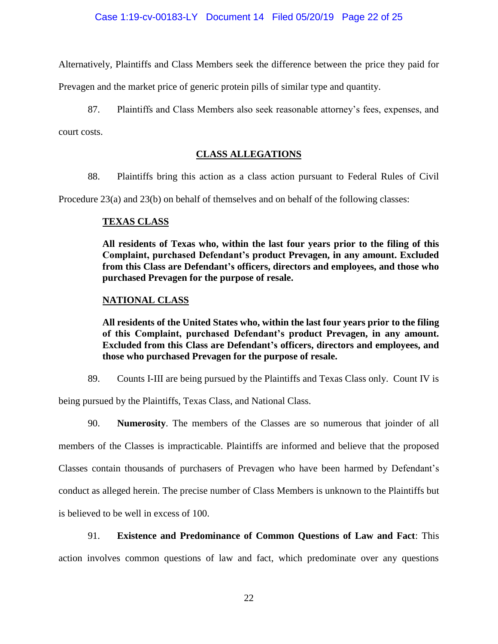Alternatively, Plaintiffs and Class Members seek the difference between the price they paid for

Prevagen and the market price of generic protein pills of similar type and quantity.

87. Plaintiffs and Class Members also seek reasonable attorney's fees, expenses, and

court costs.

# **CLASS ALLEGATIONS**

88. Plaintiffs bring this action as a class action pursuant to Federal Rules of Civil

Procedure 23(a) and 23(b) on behalf of themselves and on behalf of the following classes:

# **TEXAS CLASS**

**All residents of Texas who, within the last four years prior to the filing of this Complaint, purchased Defendant's product Prevagen, in any amount. Excluded from this Class are Defendant's officers, directors and employees, and those who purchased Prevagen for the purpose of resale.**

# **NATIONAL CLASS**

**All residents of the United States who, within the last four years prior to the filing of this Complaint, purchased Defendant's product Prevagen, in any amount. Excluded from this Class are Defendant's officers, directors and employees, and those who purchased Prevagen for the purpose of resale.**

89. Counts I-III are being pursued by the Plaintiffs and Texas Class only. Count IV is

being pursued by the Plaintiffs, Texas Class, and National Class.

90. **Numerosity**. The members of the Classes are so numerous that joinder of all members of the Classes is impracticable. Plaintiffs are informed and believe that the proposed Classes contain thousands of purchasers of Prevagen who have been harmed by Defendant's conduct as alleged herein. The precise number of Class Members is unknown to the Plaintiffs but is believed to be well in excess of 100.

91. **Existence and Predominance of Common Questions of Law and Fact**: This action involves common questions of law and fact, which predominate over any questions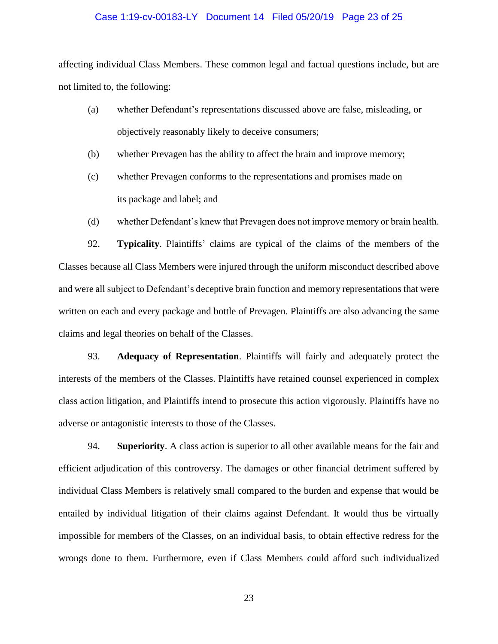#### Case 1:19-cv-00183-LY Document 14 Filed 05/20/19 Page 23 of 25

affecting individual Class Members. These common legal and factual questions include, but are not limited to, the following:

- (a) whether Defendant's representations discussed above are false, misleading, or objectively reasonably likely to deceive consumers;
- (b) whether Prevagen has the ability to affect the brain and improve memory;
- (c) whether Prevagen conforms to the representations and promises made on its package and label; and
- (d) whether Defendant's knew that Prevagen does not improve memory or brain health.

92. **Typicality**. Plaintiffs' claims are typical of the claims of the members of the Classes because all Class Members were injured through the uniform misconduct described above and were all subject to Defendant's deceptive brain function and memory representations that were written on each and every package and bottle of Prevagen. Plaintiffs are also advancing the same claims and legal theories on behalf of the Classes.

93. **Adequacy of Representation**. Plaintiffs will fairly and adequately protect the interests of the members of the Classes. Plaintiffs have retained counsel experienced in complex class action litigation, and Plaintiffs intend to prosecute this action vigorously. Plaintiffs have no adverse or antagonistic interests to those of the Classes.

94. **Superiority**. A class action is superior to all other available means for the fair and efficient adjudication of this controversy. The damages or other financial detriment suffered by individual Class Members is relatively small compared to the burden and expense that would be entailed by individual litigation of their claims against Defendant. It would thus be virtually impossible for members of the Classes, on an individual basis, to obtain effective redress for the wrongs done to them. Furthermore, even if Class Members could afford such individualized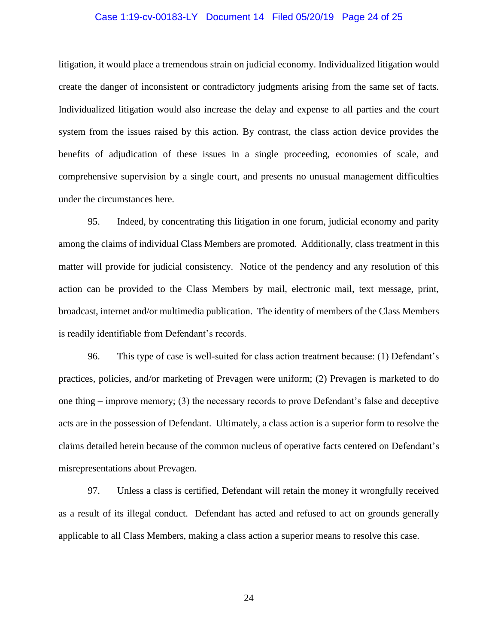#### Case 1:19-cv-00183-LY Document 14 Filed 05/20/19 Page 24 of 25

litigation, it would place a tremendous strain on judicial economy. Individualized litigation would create the danger of inconsistent or contradictory judgments arising from the same set of facts. Individualized litigation would also increase the delay and expense to all parties and the court system from the issues raised by this action. By contrast, the class action device provides the benefits of adjudication of these issues in a single proceeding, economies of scale, and comprehensive supervision by a single court, and presents no unusual management difficulties under the circumstances here.

95. Indeed, by concentrating this litigation in one forum, judicial economy and parity among the claims of individual Class Members are promoted. Additionally, class treatment in this matter will provide for judicial consistency. Notice of the pendency and any resolution of this action can be provided to the Class Members by mail, electronic mail, text message, print, broadcast, internet and/or multimedia publication. The identity of members of the Class Members is readily identifiable from Defendant's records.

96. This type of case is well-suited for class action treatment because: (1) Defendant's practices, policies, and/or marketing of Prevagen were uniform; (2) Prevagen is marketed to do one thing – improve memory; (3) the necessary records to prove Defendant's false and deceptive acts are in the possession of Defendant. Ultimately, a class action is a superior form to resolve the claims detailed herein because of the common nucleus of operative facts centered on Defendant's misrepresentations about Prevagen.

97. Unless a class is certified, Defendant will retain the money it wrongfully received as a result of its illegal conduct. Defendant has acted and refused to act on grounds generally applicable to all Class Members, making a class action a superior means to resolve this case.